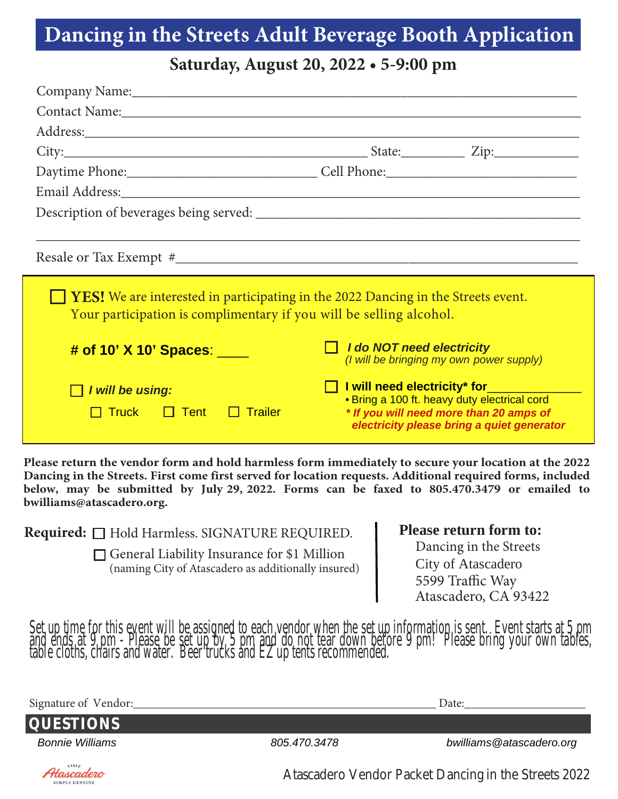## **Dancing in the Streets Adult Beverage Booth Application**

**Saturday, August 20, 2022 • 5-9:00 pm**

| Company Name: Company Name:                                                                                                                                                                                                    |                                                                                                                                                                       |  |  |
|--------------------------------------------------------------------------------------------------------------------------------------------------------------------------------------------------------------------------------|-----------------------------------------------------------------------------------------------------------------------------------------------------------------------|--|--|
| Contact Name: Name and the Contact Name and the Contact Name and the Contact Name and the Contact Name and the Contact Name and the Contact Name and the Contact Name and the Contact Name and the Contact Name and the Contac |                                                                                                                                                                       |  |  |
|                                                                                                                                                                                                                                |                                                                                                                                                                       |  |  |
|                                                                                                                                                                                                                                |                                                                                                                                                                       |  |  |
|                                                                                                                                                                                                                                |                                                                                                                                                                       |  |  |
|                                                                                                                                                                                                                                |                                                                                                                                                                       |  |  |
|                                                                                                                                                                                                                                |                                                                                                                                                                       |  |  |
|                                                                                                                                                                                                                                |                                                                                                                                                                       |  |  |
| <b>YES!</b> We are interested in participating in the 2022 Dancing in the Streets event.<br>Your participation is complimentary if you will be selling alcohol.                                                                |                                                                                                                                                                       |  |  |
| # of 10' X 10' Spaces:                                                                                                                                                                                                         | I do NOT need electricity<br>(I will be bringing my own power supply)                                                                                                 |  |  |
| I will be using:<br>$\Box$ Tent<br>$\Box$ Trailer<br><b>Truck</b>                                                                                                                                                              | I will need electricity* for<br>• Bring a 100 ft. heavy duty electrical cord<br>* If you will need more than 20 amps of<br>electricity please bring a quiet generator |  |  |

 **bwilliams@atascadero.org. below, may be submitted by July 29, 2022. Forms can be faxed to 805.470.3479 or emailed to Dancing in the Streets. First come first served for location requests. Additional required forms, included Please return the vendor form and hold harmless form immediately to secure your location at the 2022**

| Required: □ Hold Harmless. SIGNATURE REQUIRED.                                                            | <b>Please return form to:</b>                                                            |
|-----------------------------------------------------------------------------------------------------------|------------------------------------------------------------------------------------------|
| $\Box$ General Liability Insurance for \$1 Million<br>(naming City of Atascadero as additionally insured) | Dancing in the Streets<br>City of Atascadero<br>5599 Traffic Way<br>Atascadero, CA 93422 |

SIMPLY GENITINE

Set up time for this event will be assigned to each vendor when the set up information is sent. Event starts at 5 pm<br>and ends at 9 pm - Please be set up by 5 pm and do not tear down before 9 pm! Please bring your own table

| Signature of Vendor:   |              | Date:                                                |
|------------------------|--------------|------------------------------------------------------|
| <b>QUESTIONS</b>       |              |                                                      |
| <b>Bonnie Williams</b> | 805.470.3478 | bwilliams@atascadero.org                             |
| Atascadero             |              | Atascadero Vendor Packet Dancing in the Streets 2022 |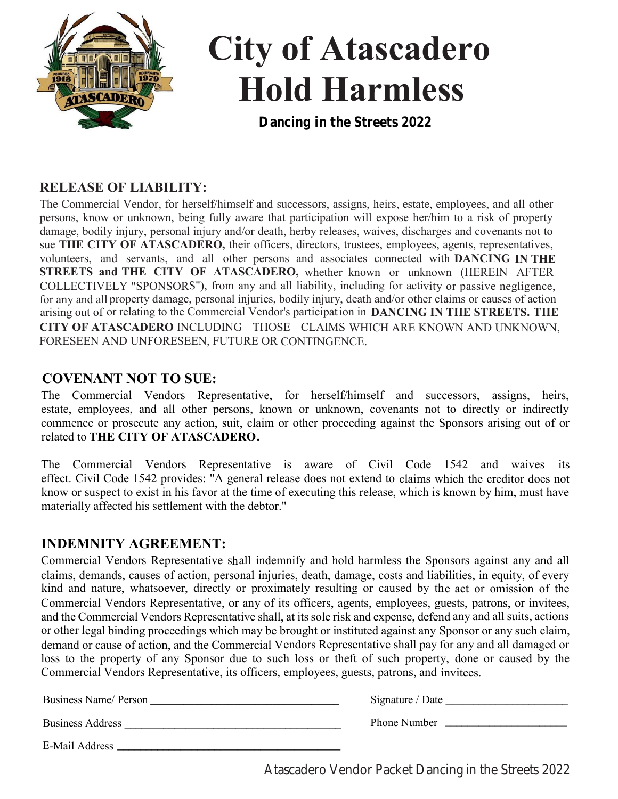

# **City of Atascadero Hold Harmless**

**Dancing in the Streets 2022**

#### **RELEASE OF LIABILITY:**

The Commercial Vendor, for herself/himself and successors, assigns, heirs, estate, employees, and all other persons, know or unknown, being fully aware that participation will expose her/him to a risk of property damage, bodily injury, personal injury and/or death, herby releases, waives, discharges and covenants not to sue **THE CITY OF ATASCADERO,** their officers, directors, trustees, employees, agents, representatives, volunteers, and servants, and all other persons and associates connected with **DANCING IN THE STREETS and THE CITY OF ATASCADERO,** whether known or unknown (HEREIN AFTER COLLECTIVELY "SPONSORS"), from any and all liability, including for activity or passive negligence, for any and all property damage, personal injuries, bodily injury, death and/or other claims or causes of action arising out of or relating to the Commercial Vendor's participation in DANCING IN THE STREETS. THE **CITY OF ATASCADERO** INCLUDING THOSE CLAIMS WHICH ARE KNOWN AND UNKNOWN, FORESEEN AND UNFORESEEN, FUTURE OR CONTINGENCE.

#### **COVENANT NOT TO SUE:**

The Commercial Vendors Representative, for herself/himself and successors, assigns, heirs, estate, employees, and all other persons, known or unknown, covenants not to directly or indirectly commence or prosecute any action, suit, claim or other proceeding against the Sponsors arising out of or related to **THE CITY OF ATASCADERO.**

The Commercial Vendors Representative is aware of Civil Code 1542 and waives its effect. Civil Code 1542 provides: "A general release does not extend to claims which the creditor does not know or suspect to exist in his favor at the time of executing this release, which is known by him, must have materially affected his settlement with the debtor."

#### **INDEMNITY AGREEMENT:**

Commercial Vendors Representative shall indemnify and hold harmless the Sponsors against any and all claims, demands, causes of action, personal injuries, death, damage, costs and liabilities, in equity, of every kind and nature, whatsoever, directly or proximately resulting or caused by the act or omission of the Commercial Vendors Representative, or any of its officers, agents, employees, guests, patrons, or invitees, and the Commercial Vendors Representative shall, at its sole risk and expense, defend any and all suits, actions or other legal binding proceedings which may be brought or instituted against any Sponsor or any such claim, demand or cause of action, and the Commercial Vendors Representative shall pay for any and all damaged or loss to the property of any Sponsor due to such loss or theft of such property, done or caused by the Commercial Vendors Representative, its officers, employees, guests, patrons, and invitees.

Business Name/ Person **\_\_\_\_\_\_\_\_\_\_\_\_\_\_\_\_\_\_\_\_\_\_\_\_\_\_\_\_\_\_\_\_** 

**Business Address** 

E-Mail Address **\_\_\_\_\_\_\_\_\_\_\_\_\_\_\_\_\_\_\_\_\_\_\_\_\_\_\_\_\_\_\_\_\_\_\_\_\_\_\_**

Atascadero Vendor Packet Dancing in the Streets 2022

Signature / Date

Phone Number